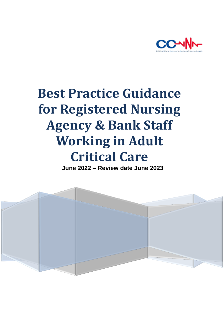

# **Best Practice Guidance for Registered Nursing Agency & Bank Staff Working in Adult Critical Care**

 **June 2022 – Review date June 2023**

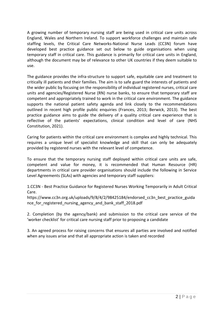A growing number of temporary nursing staff are being used in critical care units across England, Wales and Northern Ireland. To support workforce challenges and maintain safe staffing levels, the Critical Care Networks-National Nurse Leads (CC3N) forum have developed best practice guidance set out below to guide organisations when using temporary staff in critical care. This guidance is primarily for critical care units in England, although the document may be of relevance to other UK countries if they deem suitable to use.

The guidance provides the infra-structure to support safe, equitable care and treatment to critically ill patients and their families. The aim is to safe guard the interests of patients and the wider public by focusing on the responsibility of individual registered nurses, critical care units and agencies/Registered Nurse (RN) nurse banks, to ensure that temporary staff are competent and appropriately trained to work in the critical care environment. The guidance supports the national patient safety agenda and link closely to the recommendations outlined in recent high profile public enquiries (Frances, 2013; Berwick, 2013). The best practice guidance aims to guide the delivery of a quality critical care experience that is reflective of the patients' expectations, clinical condition and level of care (NHS Constitution, 2021).

Caring for patients within the critical care environment is complex and highly technical. This requires a unique level of specialist knowledge and skill that can only be adequately provided by registered nurses with the relevant level of competence.

To ensure that the temporary nursing staff deployed within critical care units are safe, competent and value for money, it is recommended that Human Resource (HR) departments in critical care provider organisations should include the following in Service Level Agreements (SLAs) with agencies and temporary staff suppliers:

1.CC3N - Best Practice Guidance for Registered Nurses Working Temporarily in Adult Critical Care.

https://www.cc3n.org.uk/uploads/9/8/4/2/98425184/endorsed\_cc3n\_best\_practice\_guida nce for registered nursing agency and bank staff 2018.pdf

2. Completion (by the agency/bank) and submission to the critical care service of the 'worker checklist' for critical care nursing staff prior to proposing a candidate

3. An agreed process for raising concerns that ensures all parties are involved and notified when any issues arise and that all appropriate action is taken and recorded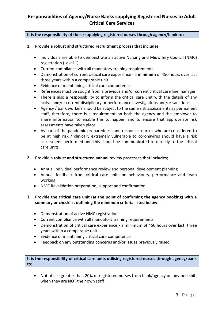# **Responsibilities of Agency/Nurse Banks supplying Registered Nurses to Adult Critical Care Services**

#### **It is the responsibility of those supplying registered nurses through agency/bank to:**

#### **1. Provide a robust and structured recruitment process that includes;**

- Individuals are able to demonstrate an active Nursing and Midwifery Council (NMC) registration (Level 1)
- Current compliance with all mandatory training requirements
- Demonstration of current critical care experience a **minimum** of 450 hours over last three years within a comparable unit
- Evidence of maintaining critical care competence
- References must be sought from a previous and/or current critical care line manager
- There is also a responsibility to inform the critical care unit with the details of any active and/or current disciplinary or performance investigations and/or sanctions
- Agency / bank workers should be subject to the same risk assessments as permanent staff, therefore, there is a requirement on both the agency and the employer to share information to enable this to happen and to ensure that appropriate risk assessments have taken place
- As part of the pandemic preparedness and response, nurses who are considered to be at high risk / clinically extremely vulnerable to coronavirus should have a risk assessment performed and this should be communicated to directly to the critical care units.

#### **2. Provide a robust and structured annual review processes that includes;**

- Annual individual performance review and personal development planning
- Annual feedback from critical care units on behaviours, performance and team working
- NMC Revalidation preparation, support and confirmation

# **3. Provide the critical care unit (at the point of confirming the agency booking) with a summary or checklist outlining the minimum criteria listed below:**

- Demonstration of active NMC registration
- Current compliance with all mandatory training requirements
- Demonstration of critical care experience a minimum of 450 hours over last three years within a comparable unit
- Evidence of maintaining critical care competence
- Feedback on any outstanding concerns and/or issues previously raised

# **It is the responsibility of critical care units utilising registered nurses through agency/bank to:**

 Not utilise greater than 20% of registered nurses from bank/agency on any one shift when they are NOT their own staff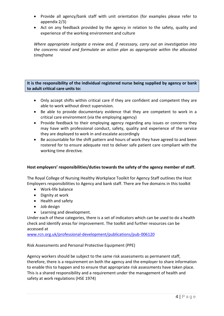- Provide all agency/bank staff with unit orientation (for examples please refer to appendix 2/3)
- Act on any feedback provided by the agency in relation to the safety, quality and experience of the working environment and culture

*Where appropriate instigate a review and, if necessary, carry out an investigation into the concerns raised and formulate an action plan as appropriate within the allocated timeframe*

**It is the responsibility of the individual registered nurse being supplied by agency or bank to adult critical care units to:**

- Only accept shifts within critical care if they are confident and competent they are able to work without direct supervision.
- Be able to provide documentary evidence that they are competent to work in a critical care environment (via the employing agency)
- Provide feedback to their employing agency regarding any issues or concerns they may have with professional conduct, safety, quality and experience of the service they are deployed to work in and escalate accordingly
- Be accountable for the shift pattern and hours of work they have agreed to and been rostered for to ensure adequate rest to deliver safe patient care compliant with the working time directive.

# **Host employers' responsibilities/duties towards the safety of the agency member of staff.**

The Royal College of Nursing Healthy Workplace Toolkit for Agency Staff outlines the Host Employers responsibilities to Agency and bank staff. There are five domains in this toolkit

- Work-life balance
- Dignity at work
- Health and safety
- Job design
- Learning and development.

Under each of these categories, there is a set of indicators which can be used to do a health check and identify areas for improvement. The toolkit and further resources can be accessed at

[www.rcn.org.uk/professional-development/publications/pub-006120](http://www.rcn.org.uk/professional-development/publications/pub-006120)

Risk Assessments and Personal Protective Equipment (PPE)

Agency workers should be subject to the same risk assessments as permanent staff, therefore, there is a requirement on both the agency and the employer to share information to enable this to happen and to ensure that appropriate risk assessments have taken place. This is a shared responsibility and a requirement under the management of health and safety at work regulations (HSE 1974)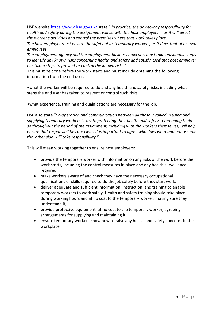HSE website <https://www.hse.gov.uk/> state " *In practice, the day-to-day responsibility for health and safety during the assignment will lie with the host employers … as it will direct the worker's activities and control the premises where that work takes place.*

*The host employer must ensure the safety of its temporary workers, as it does that of its own employees.*

*The employment agency and the employment business however, must take reasonable steps to identify any known risks concerning health and safety and satisfy itself that host employer has taken steps to prevent or control the known risks "*.

This must be done before the work starts and must include obtaining the following information from the end user:

•what the worker will be required to do and any health and safety risks, including what steps the end user has taken to prevent or control such risks;

•what experience, training and qualifications are necessary for the job.

HSE also state "*Co-operation and communication between all those involved in using and supplying temporary workers is key to protecting their health and safety. Continuing to do so throughout the period of the assignment, including with the workers themselves, will help ensure that responsibilities are clear. It is important to agree who does what and not assume the 'other side' will take responsibility* ".

This will mean working together to ensure host employers:

- provide the temporary worker with information on any risks of the work before the work starts, including the control measures in place and any health surveillance required;
- make workers aware of and check they have the necessary occupational qualifications or skills required to do the job safely before they start work;
- deliver adequate and sufficient information, instruction, and training to enable temporary workers to work safely. Health and safety training should take place during working hours and at no cost to the temporary worker, making sure they understand it;
- provide protective equipment, at no cost to the temporary worker, agreeing arrangements for supplying and maintaining it;
- ensure temporary workers know how to raise any health and safety concerns in the workplace.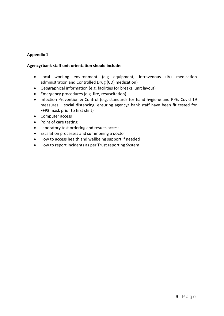# **Appendix 1**

#### **Agency/bank staff unit orientation should include:**

- Local working environment (e.g equipment, Intravenous (IV) medication administration and Controlled Drug (CD) medication)
- Geographical information (e.g. facilities for breaks, unit layout)
- Emergency procedures (e.g. fire, resuscitation)
- Infection Prevention & Control (e.g. standards for hand hygiene and PPE, Covid 19 measures – social distancing, ensuring agency/ bank staff have been fit tested for FFP3 mask prior to first shift)
- Computer access
- Point of care testing
- Laboratory test ordering and results access
- Escalation processes and summoning a doctor
- How to access health and wellbeing support if needed
- How to report incidents as per Trust reporting System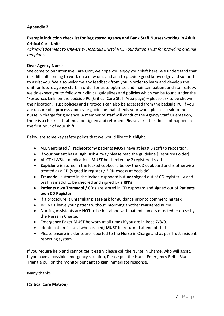# **Appendix 2**

# **Example induction checklist for Registered Agency and Bank Staff Nurses working in Adult Critical Care Units.**

*Acknowledgement to University Hospitals Bristol NHS Foundation Trust for providing original template*.

#### **Dear Agency Nurse**

Welcome to our Intensive Care Unit, we hope you enjoy your shift here. We understand that it is difficult coming to work on a new unit and aim to provide good knowledge and support to assist you. We also welcome any feedback from you in order to learn and develop the unit for future agency staff. In order for us to optimise and maintain patient and staff safety, we do expect you to follow our clinical guidelines and policies which can be found under the 'Resources Link' on the bedside PC (Critical Care Staff Area page) – please ask to be shown their location. Trust policies and Protocols can also be accessed from the bedside PC. If you are unsure of a process / policy or guideline that affects your work, please speak to the nurse in charge for guidance. A member of staff will conduct the Agency Staff Orientation, there is a checklist that must be signed and returned. Please ask if this does not happen in the first hour of your shift.

Below are some key safety points that we would like to highlight.

- ALL Ventilated / Tracheostomy patients **MUST** have at least 3 staff to reposition.
- If your patient has a High Risk Airway please read the guideline [Resource Folder]
- All CD/ IV/Stat medications **MUST** be checked by 2 registered staff.
- **Zopiclone** is stored in the locked cupboard below the CD cupboard and is otherwise treated as a CD (signed in register / 2 RN checks at bedside)
- **Tramadol** is stored in the locked cupboard but **not** signed out of CD register. IV and oral Tramadol to be checked and signed by **2 RN's**
- **Patients own Tramadol / CD's** are stored in CD cupboard and signed out of **Patients own CD Register**
- If a procedure is unfamiliar please ask for guidance prior to commencing task.
- **DO NOT** leave your patient without informing another registered nurse.
- Nursing Assistants are **NOT** to be left alone with patients unless directed to do so by the Nurse in Charge.
- Emergency Pager **MUST** be worn at all times if you are in Beds 7/8/9.
- Identification Passes [when issued] **MUST** be returned at end of shift
- Please ensure incidents are reported to the Nurse in Charge and as per Trust incident reporting system

If you require help and cannot get it easily please call the Nurse in Charge, who will assist. If you have a possible emergency situation, Please pull the Nurse Emergency Bell – Blue Triangle pull on the monitor pendant to gain immediate response.

#### Many thanks

# **(Critical Care Matron)**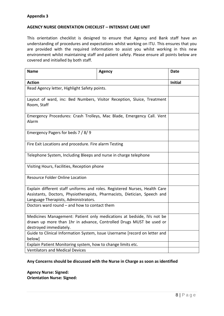#### **AGENCY NURSE ORIENTATION CHECKLIST – INTENSIVE CARE UNIT**

This orientation checklist is designed to ensure that Agency and Bank staff have an understanding of procedures and expectations whilst working on ITU. This ensures that you are provided with the required information to assist you whilst working in this new environment whilst maintaining staff and patient safety. Please ensure all points below are covered and initialled by both staff.

| <b>Name</b>                                                                                                                                                                                     | <b>Agency</b> | <b>Date</b>    |
|-------------------------------------------------------------------------------------------------------------------------------------------------------------------------------------------------|---------------|----------------|
| <b>Action</b>                                                                                                                                                                                   |               | <b>Initial</b> |
| Read Agency letter, Highlight Safety points.                                                                                                                                                    |               |                |
| Layout of ward, inc: Bed Numbers, Visitor Reception, Sluice, Treatment<br>Room, Staff                                                                                                           |               |                |
| Emergency Procedures: Crash Trolleys, Mac Blade, Emergency Call. Vent<br>Alarm                                                                                                                  |               |                |
| Emergency Pagers for beds 7 / 8/9                                                                                                                                                               |               |                |
| Fire Exit Locations and procedure. Fire alarm Testing                                                                                                                                           |               |                |
| Telephone System, Including Bleeps and nurse in charge telephone                                                                                                                                |               |                |
| Visiting Hours, Facilities, Reception phone                                                                                                                                                     |               |                |
| <b>Resource Folder Online Location</b>                                                                                                                                                          |               |                |
| Explain different staff uniforms and roles. Registered Nurses, Health Care<br>Assistants, Doctors, Physiotherapists, Pharmacists, Dietician, Speech and<br>Language Therapists, Administrators. |               |                |
| Doctors ward round - and how to contact them                                                                                                                                                    |               |                |
| Medicines Management: Patient only medications at bedside, IVs not be<br>drawn up more than 1hr in advance, Controlled Drugs MUST be used or<br>destroyed immediately.                          |               |                |
| Guide to Clinical Information System, Issue Username [record on letter and<br>below]                                                                                                            |               |                |
| Explain Patient Monitoring system, how to change limits etc.                                                                                                                                    |               |                |
| <b>Ventilators and Medical Devices</b>                                                                                                                                                          |               |                |

#### **Any Concerns should be discussed with the Nurse in Charge as soon as identified**

**Agency Nurse: Signed: Orientation Nurse: Signed:**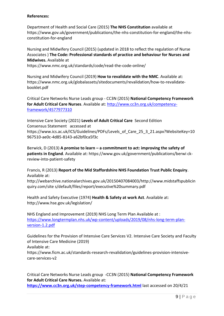#### **References:**

Department of Health and Social Care (2015) **The NHS Constitution** available at https://www.gov.uk/government/publications/the-nhs-constitution-for-england/the-nhsconstitution-for-england

Nursing and Midwifery Council (2015) (updated in 2018 to reflect the regulation of Nurse Associates ) **The Code: Professional standards of practice and behaviour for Nurses and Midwives.** Available at

https://www.nmc.org.uk/standards/code/read-the-code-online/

Nursing and Midwifery Council (2019) **How to revalidate with the NMC**. Available at: https://www.nmc.org.uk/globalassets/sitedocuments/revalidation/how-to-revalidatebooklet.pdf

Critical Care Networks Nurse Leads group - CC3N (2015) **National Competency Framework for Adult Critical Care Nurses**. Available at: [http://www.cc3n.org.uk/competency](http://www.cc3n.org.uk/competency-framework/4577977310)[framework/4577977310](http://www.cc3n.org.uk/competency-framework/4577977310)

Intensive Care Society (2021) **Levels of Adult Critical Care** Second Edition Consensus Statement accessed at https://www.ics.ac.uk/ICS/Guidelines/PDFs/Levels\_of\_Care\_25\_3\_21.aspx?WebsiteKey=10 967510-ae0c-4d85-8143-a62bf0ca5f3c

Berwick, D (2013) **A promise to learn – a commitment to act: improving the safety of patients in England**. Available at: https://www.gov.uk/government/publications/berwi ckreview-into-patient-safety

Francis, R (2013) **Report of the Mid Staffordshire NHS Foundation Trust Public Enquiry**. Available at:

http://webarchive.nationalarchives.gov.uk/20150407084003/http://www.midstaffspublicin quiry.com/site s/default/files/report/executive%20summary.pdf

Health and Safety Executive (1974) **Health & Safety at work Act**. Available at: http://www.hse.gov.uk/legislation/

NHS England and Improvement (2019) NHS Long Term Plan Available at : [https://www.longtermplan.nhs.uk/wp-content/uploads/2019/08/nhs-long-term-plan](https://www.longtermplan.nhs.uk/wp-content/uploads/2019/08/nhs-long-term-plan-version-1.2.pdf)[version-1.2.pdf](https://www.longtermplan.nhs.uk/wp-content/uploads/2019/08/nhs-long-term-plan-version-1.2.pdf)

Guidelines for the Provision of Intensive Care Services V2. Intensive Care Society and Faculty of Intensive Care Medicine (2019)

Available at:

https://www.ficm.ac.uk/standards-research-revalidation/guidelines-provision-intensivecare-services-v2

Critical Care Networks Nurse Leads group -CC3N (2015) **National Competency Framework for Adult Critical Care Nurses.** Available at:

**<https://www.cc3n.org.uk/step-competency-framework.html>** last accessed on 20/4/21